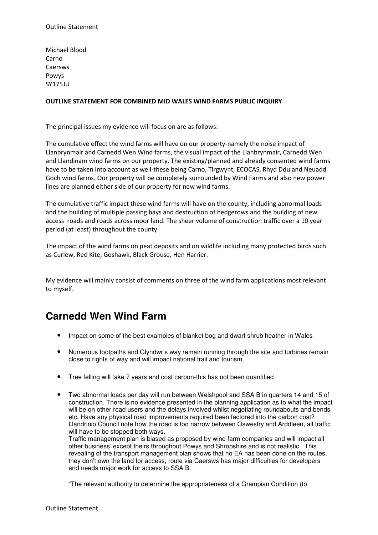Michael Blood Carno Caersws Powys SY175JU

## OUTLINE STATEMENT FOR COMBINED MID WALES WIND FARMS PUBLIC INQUIRY

The principal issues my evidence will focus on are as follows:

The cumulative effect the wind farms will have on our property-namely the noise impact of Llanbrynmair and Carnedd Wen Wind farms, the visual impact of the Llanbrynmair, Carnedd Wen and Llandinam wind farms on our property. The existing/planned and already consented wind farms have to be taken into account as well-these being Carno, Tirgwynt, ECOCAS, Rhyd Ddu and Neuadd Goch wind farms. Our property will be completely surrounded by Wind Farms and also new power lines are planned either side of our property for new wind farms.

The cumulative traffic impact these wind farms will have on the county, including abnormal loads and the building of multiple passing bays and destruction of hedgerows and the building of new access roads and roads across moor land. The sheer volume of construction traffic over a 10 year period (at least) throughout the county.

The impact of the wind farms on peat deposits and on wildlife including many protected birds such as Curlew, Red Kite, Goshawk, Black Grouse, Hen Harrier.

My evidence will mainly consist of comments on three of the wind farm applications most relevant to myself.

## **Carnedd Wen Wind Farm**

- Impact on some of the best examples of blanket bog and dwarf shrub heather in Wales
- Numerous footpaths and Glyndwr's way remain running through the site and turbines remain close to rights of way and will impact national trail and tourism
- Tree felling will take 7 years and cost carbon-this has not been quantified
- Two abnormal loads per day will run between Welshpool and SSA B in quarters 14 and 15 of construction. There is no evidence presented in the planning application as to what the impact will be on other road users and the delays involved whilst negotiating roundabouts and bends etc. Have any physical road improvements required been factored into the carbon cost? Llandrinio Council note how the road is too narrow between Oswestry and Arddleen, all traffic will have to be stopped both ways.

Traffic management plan is biased as proposed by wind farm companies and will impact all other business' except theirs throughout Powys and Shropshire and is not realistic. This revealing of the transport management plan shows that no EA has been done on the routes, they don't own the land for access, route via Caersws has major difficulties for developers and needs major work for access to SSA B.

"The relevant authority to determine the appropriateness of a Grampian Condition (to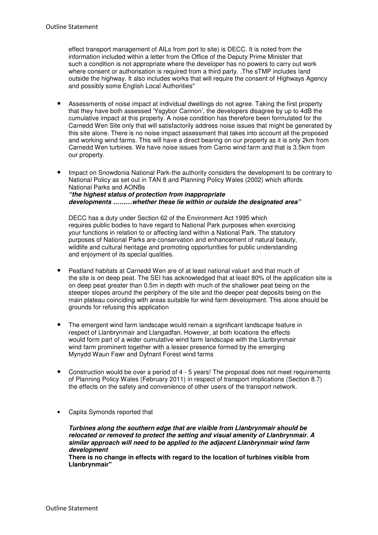effect transport management of AILs from port to site) is DECC. It is noted from the information included within a letter from the Office of the Deputy Prime Minister that such a condition is not appropriate where the developer has no powers to carry out work where consent or authorisation is required from a third party. .The sTMP includes land outside the highway. It also includes works that will require the consent of Highways Agency and possibly some English Local Authorities"

- Assessments of noise impact at individual dwellings do not agree. Taking the first property that they have both assessed 'Ysgybor Cannon', the developers disagree by up to 4dB the cumulative impact at this property. A noise condition has therefore been formulated for the Carnedd Wen Site only that will satisfactorily address noise issues that might be generated by this site alone. There is no noise impact assessment that takes into account all the proposed and working wind farms. This will have a direct bearing on our property as it is only 2km from Carnedd Wen turbines. We have noise issues from Carno wind farm and that is 3.5km from our property.
- Impact on Snowdonia National Park-the authority considers the development to be contrary to National Policy as set out in TAN 8 and Planning Policy Wales (2002) which affords National Parks and AONBs **"the highest status of protection from inappropriate developments ………whether these lie within or outside the designated area"**

DECC has a duty under Section 62 of the Environment Act 1995 which requires public bodies to have regard to National Park purposes when exercising your functions in relation to or affecting land within a National Park. The statutory purposes of National Parks are conservation and enhancement of natural beauty, wildlife and cultural heritage and promoting opportunities for public understanding and enjoyment of its special qualities.

- Peatland habitats at Carnedd Wen are of at least national value1 and that much of the site is on deep peat. The SEI has acknowledged that at least 80% of the application site is on deep peat greater than 0.5m in depth with much of the shallower peat being on the steeper slopes around the periphery of the site and the deeper peat deposits being on the main plateau coinciding with areas suitable for wind farm development. This alone should be grounds for refusing this application
- The emergent wind farm landscape would remain a significant landscape feature in respect of Llanbrynmair and Llangadfan. However, at both locations the effects would form part of a wider cumulative wind farm landscape with the Llanbrynmair wind farm prominent together with a lesser presence formed by the emerging Mynydd Waun Fawr and Dyfnant Forest wind farms
- Construction would be over a period of 4 5 years! The proposal does not meet requirements of Planning Policy Wales (February 2011) in respect of transport implications (Section 8.7) the effects on the safety and convenience of other users of the transport network.
- Capita Symonds reported that

**Turbines along the southern edge that are visible from Llanbrynmair should be relocated or removed to protect the setting and visual amenity of Llanbrynmair. A similar approach will need to be applied to the adjacent Llanbrynmair wind farm development** 

**There is no change in effects with regard to the location of turbines visible from Llanbrynmair"**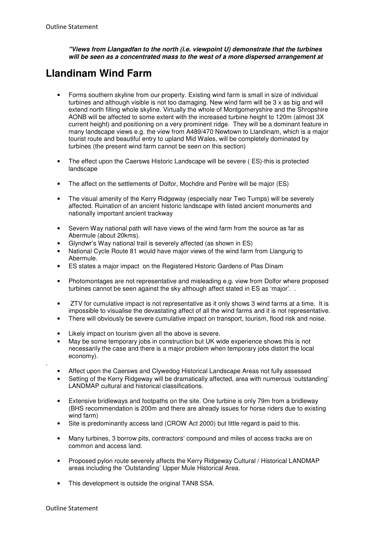**"Views from Llangadfan to the north (i.e. viewpoint U) demonstrate that the turbines will be seen as a concentrated mass to the west of a more dispersed arrangement at** 

## **Llandinam Wind Farm**

- Forms southern skyline from our property. Existing wind farm is small in size of individual turbines and although visible is not too damaging. New wind farm will be 3 x as big and will extend north filling whole skyline. Virtually the whole of Montgomeryshire and the Shropshire AONB will be affected to some extent with the increased turbine height to 120m (almost 3X current height) and positioning on a very prominent ridge. They will be a dominant feature in many landscape views e.g. the view from A489/470 Newtown to Llandinam, which is a major tourist route and beautiful entry to upland Mid Wales, will be completely dominated by turbines (the present wind farm cannot be seen on this section)
- The effect upon the Caersws Historic Landscape will be severe (ES)-this is protected landscape
- The affect on the settlements of Dolfor, Mochdre and Pentre will be major (ES)
- The visual amenity of the Kerry Ridgeway (especially near Two Tumps) will be severely affected. Ruination of an ancient historic landscape with listed ancient monuments and nationally important ancient trackway
- Severn Way national path will have views of the wind farm from the source as far as Abermule (about 20kms).
- Glyndwr's Way national trail is severely affected (as shown in ES)
- National Cycle Route 81 would have major views of the wind farm from Llangurig to Abermule.
- ES states a major impact on the Registered Historic Gardens of Plas Dinam
- Photomontages are not representative and misleading e.g. view from Dolfor where proposed turbines cannot be seen against the sky although affect stated in ES as 'major'. .
- ZTV for cumulative impact is not representative as it only shows 3 wind farms at a time. It is impossible to visualise the devastating affect of all the wind farms and it is not representative.
- There will obviously be severe cumulative impact on transport, tourism, flood risk and noise.
- Likely impact on tourism given all the above is severe.
- May be some temporary jobs in construction but UK wide experience shows this is not necessarily the case and there is a major problem when temporary jobs distort the local economy).
- Affect upon the Caersws and Clywedog Historical Landscape Areas not fully assessed
- Setting of the Kerry Ridgeway will be dramatically affected, area with numerous 'outstanding' LANDMAP cultural and historical classifications.
- Extensive bridleways and footpaths on the site. One turbine is only 79m from a bridleway (BHS recommendation is 200m and there are already issues for horse riders due to existing wind farm)
- Site is predominantly access land (CROW Act 2000) but little regard is paid to this.
- Many turbines, 3 borrow pits, contractors' compound and miles of access tracks are on common and access land.
- Proposed pylon route severely affects the Kerry Ridgeway Cultural / Historical LANDMAP areas including the 'Outstanding' Upper Mule Historical Area.
- This development is outside the original TAN8 SSA.

.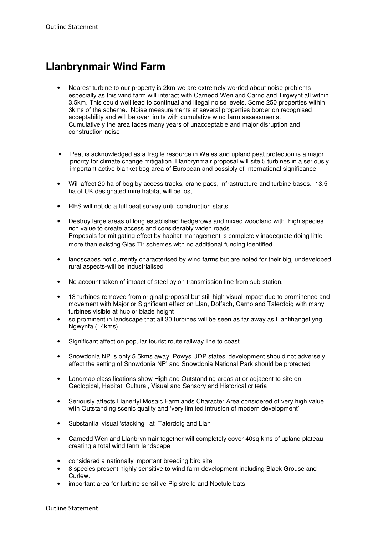## **Llanbrynmair Wind Farm**

- Nearest turbine to our property is 2km-we are extremely worried about noise problems especially as this wind farm will interact with Carnedd Wen and Carno and Tirgwynt all within 3.5km. This could well lead to continual and illegal noise levels. Some 250 properties within 3kms of the scheme. Noise measurements at several properties border on recognised acceptability and will be over limits with cumulative wind farm assessments. Cumulatively the area faces many years of unacceptable and major disruption and construction noise
- Peat is acknowledged as a fragile resource in Wales and upland peat protection is a major priority for climate change mitigation. Llanbrynmair proposal will site 5 turbines in a seriously important active blanket bog area of European and possibly of International significance
- Will affect 20 ha of bog by access tracks, crane pads, infrastructure and turbine bases. 13.5 ha of UK designated mire habitat will be lost
- RES will not do a full peat survey until construction starts
- Destroy large areas of long established hedgerows and mixed woodland with high species rich value to create access and considerably widen roads Proposals for mitigating effect by habitat management is completely inadequate doing little more than existing Glas Tir schemes with no additional funding identified.
- landscapes not currently characterised by wind farms but are noted for their big, undeveloped rural aspects-will be industrialised
- No account taken of impact of steel pylon transmission line from sub-station.
- 13 turbines removed from original proposal but still high visual impact due to prominence and movement with Major or Significant effect on Llan, Dolfach, Carno and Talerddig with many turbines visible at hub or blade height
- so prominent in landscape that all 30 turbines will be seen as far away as Llanfihangel yng Ngwynfa (14kms)
- Significant affect on popular tourist route railway line to coast
- Snowdonia NP is only 5.5kms away. Powys UDP states 'development should not adversely affect the setting of Snowdonia NP' and Snowdonia National Park should be protected
- Landmap classifications show High and Outstanding areas at or adjacent to site on Geological, Habitat, Cultural, Visual and Sensory and Historical criteria
- Seriously affects Llanerfyl Mosaic Farmlands Character Area considered of very high value with Outstanding scenic quality and 'very limited intrusion of modern development'
- Substantial visual 'stacking' at Talerddig and Llan
- Carnedd Wen and Llanbrynmair together will completely cover 40sq kms of upland plateau creating a total wind farm landscape
- considered a nationally important breeding bird site
- 8 species present highly sensitive to wind farm development including Black Grouse and Curlew.
- important area for turbine sensitive Pipistrelle and Noctule bats